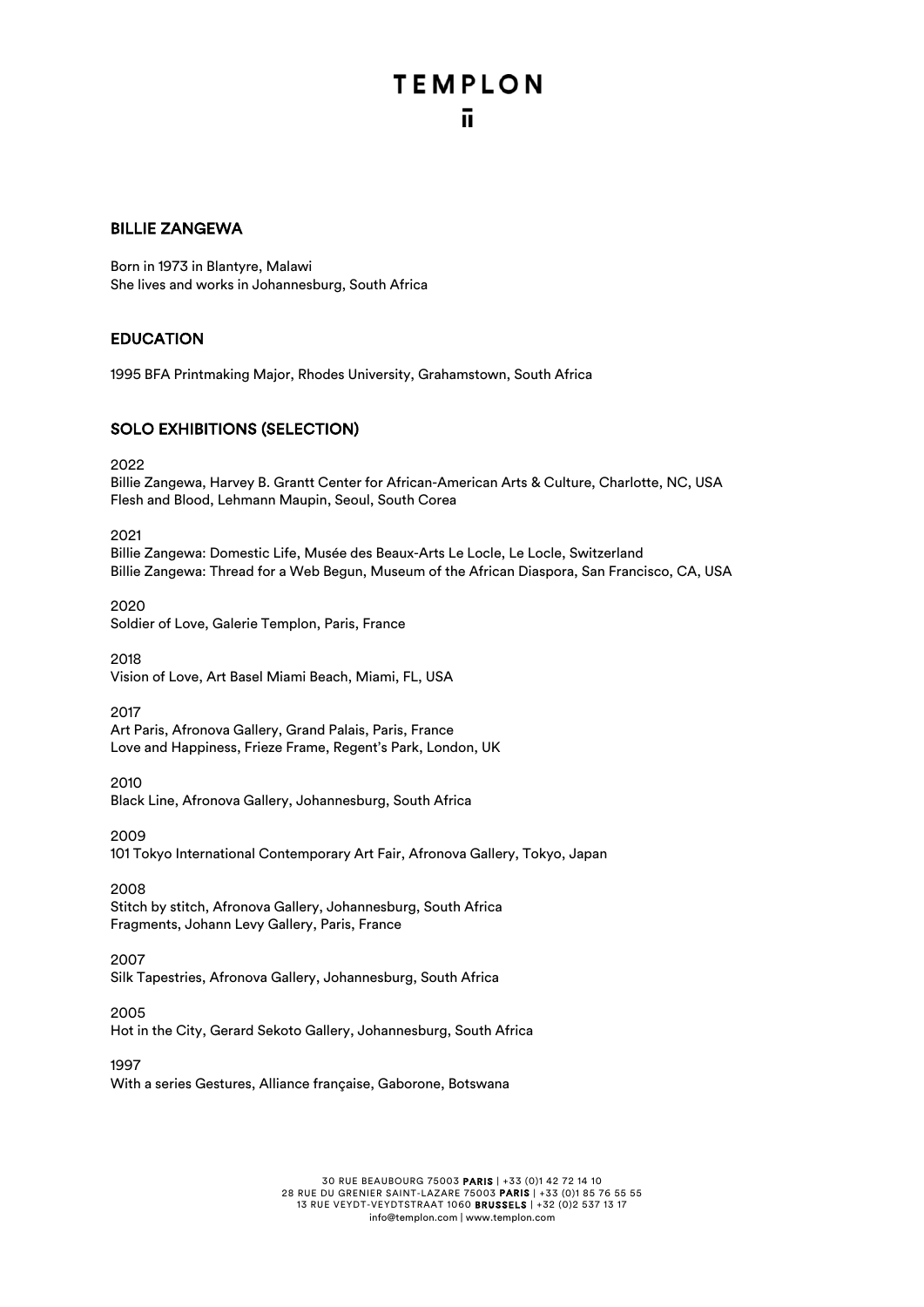### **TEMPLON** π

#### BILLIE ZANGEWA

Born in 1973 in Blantyre, Malawi She lives and works in Johannesburg, South Africa

#### **EDUCATION**

1995 BFA Printmaking Major, Rhodes University, Grahamstown, South Africa

#### SOLO EXHIBITIONS (SELECTION)

2022

Billie Zangewa, Harvey B. Grantt Center for African-American Arts & Culture, Charlotte, NC, USA Flesh and Blood, Lehmann Maupin, Seoul, South Corea

2021

Billie Zangewa: Domestic Life, Musée des Beaux-Arts Le Locle, Le Locle, Switzerland Billie Zangewa: Thread for a Web Begun, Museum of the African Diaspora, San Francisco, CA, USA

2020 Soldier of Love, Galerie Templon, Paris, France

2018

Vision of Love, Art Basel Miami Beach, Miami, FL, USA

2017 Art Paris, Afronova Gallery, Grand Palais, Paris, France Love and Happiness, Frieze Frame, Regent's Park, London, UK

2010 Black Line, Afronova Gallery, Johannesburg, South Africa

2009 101 Tokyo International Contemporary Art Fair, Afronova Gallery, Tokyo, Japan

2008 Stitch by stitch, Afronova Gallery, Johannesburg, South Africa Fragments, Johann Levy Gallery, Paris, France

2007 Silk Tapestries, Afronova Gallery, Johannesburg, South Africa

2005

Hot in the City, Gerard Sekoto Gallery, Johannesburg, South Africa

1997

With a series Gestures, Alliance française, Gaborone, Botswana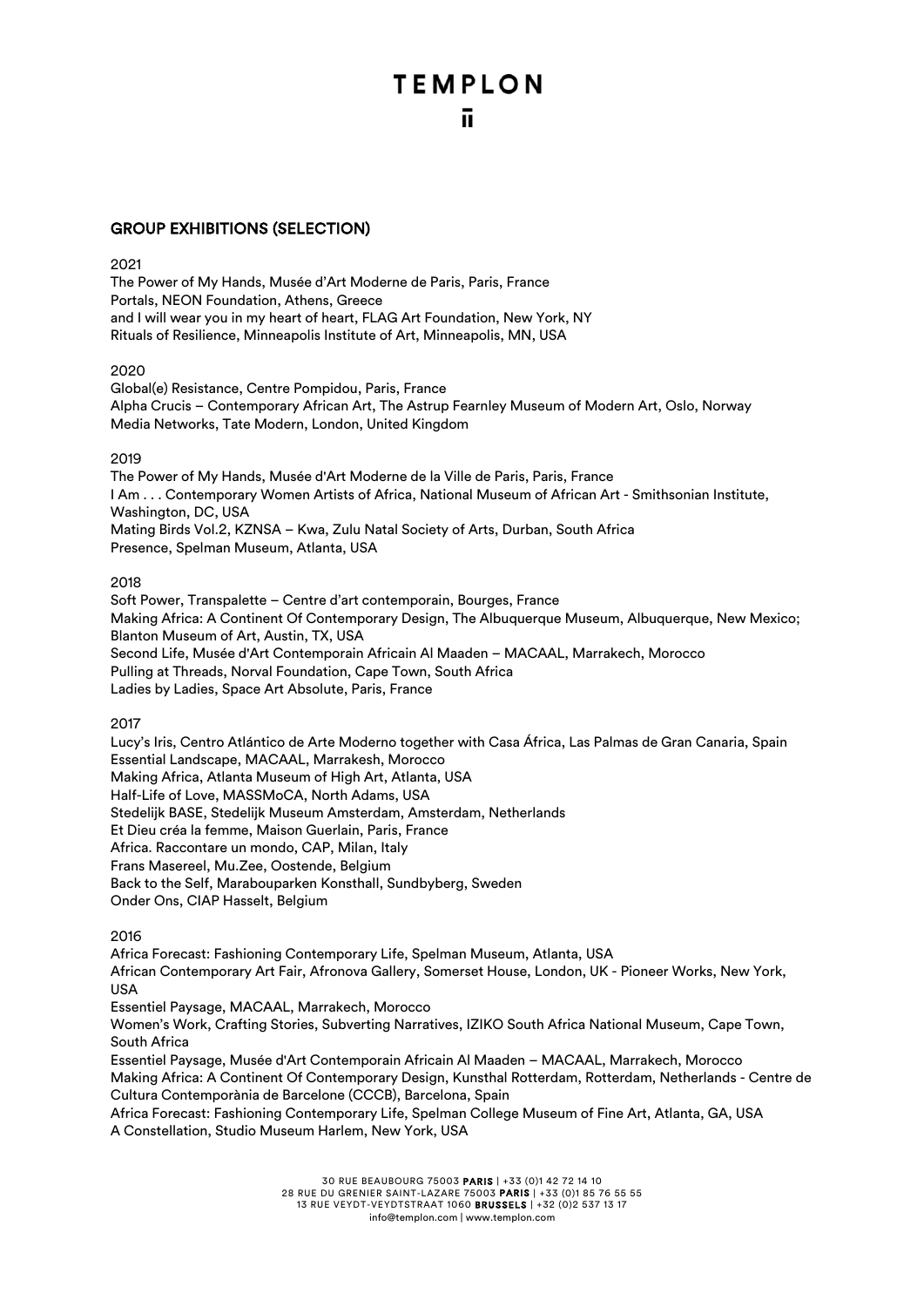# **TEMPLON**

#### GROUP EXHIBITIONS (SELECTION)

#### 2021

The Power of My Hands, Musée d'Art Moderne de Paris, Paris, France Portals, NEON Foundation, Athens, Greece and I will wear you in my heart of heart, FLAG Art Foundation, New York, NY Rituals of Resilience, Minneapolis Institute of Art, Minneapolis, MN, USA

#### 2020

Global(e) Resistance, Centre Pompidou, Paris, France Alpha Crucis – Contemporary African Art, The Astrup Fearnley Museum of Modern Art, Oslo, Norway Media Networks, Tate Modern, London, United Kingdom

#### 2019

The Power of My Hands, Musée d'Art Moderne de la Ville de Paris, Paris, France I Am . . . Contemporary Women Artists of Africa, National Museum of African Art - Smithsonian Institute, Washington, DC, USA Mating Birds Vol.2, KZNSA – Kwa, Zulu Natal Society of Arts, Durban, South Africa Presence, Spelman Museum, Atlanta, USA

#### 2018

Soft Power, Transpalette – Centre d'art contemporain, Bourges, France Making Africa: A Continent Of Contemporary Design, The Albuquerque Museum, Albuquerque, New Mexico; Blanton Museum of Art, Austin, TX, USA Second Life, Musée d'Art Contemporain Africain Al Maaden – MACAAL, Marrakech, Morocco Pulling at Threads, Norval Foundation, Cape Town, South Africa Ladies by Ladies, Space Art Absolute, Paris, France

#### 2017

Lucy's Iris, Centro Atlántico de Arte Moderno together with Casa África, Las Palmas de Gran Canaria, Spain Essential Landscape, MACAAL, Marrakesh, Morocco Making Africa, Atlanta Museum of High Art, Atlanta, USA Half-Life of Love, MASSMoCA, North Adams, USA Stedelijk BASE, Stedelijk Museum Amsterdam, Amsterdam, Netherlands Et Dieu créa la femme, Maison Guerlain, Paris, France Africa. Raccontare un mondo, CAP, Milan, Italy Frans Masereel, Mu.Zee, Oostende, Belgium Back to the Self, Marabouparken Konsthall, Sundbyberg, Sweden Onder Ons, CIAP Hasselt, Belgium

2016

Africa Forecast: Fashioning Contemporary Life, Spelman Museum, Atlanta, USA African Contemporary Art Fair, Afronova Gallery, Somerset House, London, UK - Pioneer Works, New York, **IISA** Essentiel Paysage, MACAAL, Marrakech, Morocco Women's Work, Crafting Stories, Subverting Narratives, IZIKO South Africa National Museum, Cape Town, South Africa Essentiel Paysage, Musée d'Art Contemporain Africain Al Maaden – MACAAL, Marrakech, Morocco

Making Africa: A Continent Of Contemporary Design, Kunsthal Rotterdam, Rotterdam, Netherlands - Centre de Cultura Contemporània de Barcelone (CCCB), Barcelona, Spain

Africa Forecast: Fashioning Contemporary Life, Spelman College Museum of Fine Art, Atlanta, GA, USA A Constellation, Studio Museum Harlem, New York, USA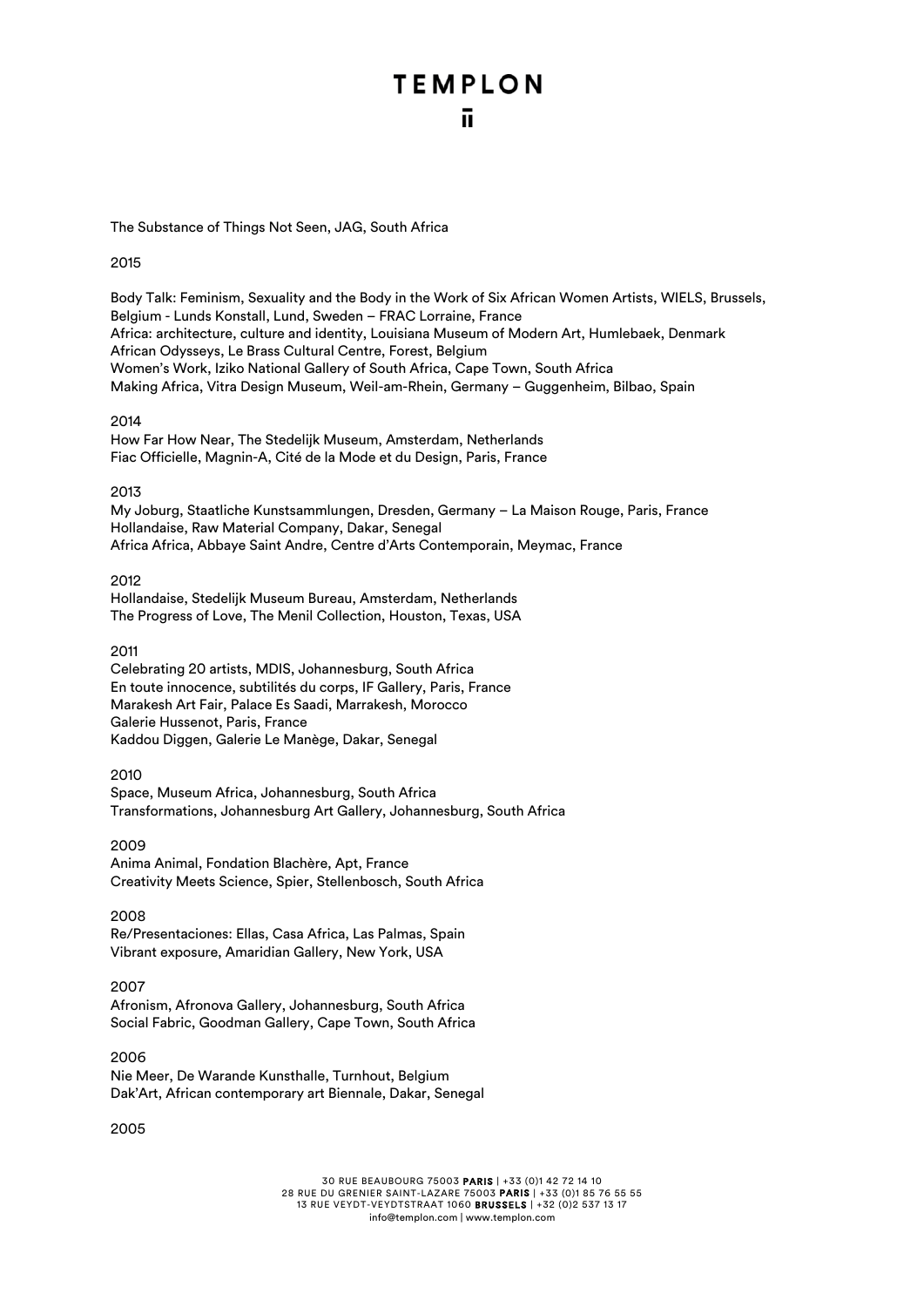# **TEMPLON**

#### The Substance of Things Not Seen, JAG, South Africa

#### 2015

Body Talk: Feminism, Sexuality and the Body in the Work of Six African Women Artists, WIELS, Brussels, Belgium - Lunds Konstall, Lund, Sweden – FRAC Lorraine, France Africa: architecture, culture and identity, Louisiana Museum of Modern Art, Humlebaek, Denmark African Odysseys, Le Brass Cultural Centre, Forest, Belgium Women's Work, Iziko National Gallery of South Africa, Cape Town, South Africa Making Africa, Vitra Design Museum, Weil-am-Rhein, Germany – Guggenheim, Bilbao, Spain

#### 2014

How Far How Near, The Stedelijk Museum, Amsterdam, Netherlands Fiac Officielle, Magnin-A, Cité de la Mode et du Design, Paris, France

#### 2013

My Joburg, Staatliche Kunstsammlungen, Dresden, Germany – La Maison Rouge, Paris, France Hollandaise, Raw Material Company, Dakar, Senegal Africa Africa, Abbaye Saint Andre, Centre d'Arts Contemporain, Meymac, France

#### 2012

Hollandaise, Stedelijk Museum Bureau, Amsterdam, Netherlands The Progress of Love, The Menil Collection, Houston, Texas, USA

#### 2011

Celebrating 20 artists, MDIS, Johannesburg, South Africa En toute innocence, subtilités du corps, IF Gallery, Paris, France Marakesh Art Fair, Palace Es Saadi, Marrakesh, Morocco Galerie Hussenot, Paris, France Kaddou Diggen, Galerie Le Manège, Dakar, Senegal

#### 2010

Space, Museum Africa, Johannesburg, South Africa Transformations, Johannesburg Art Gallery, Johannesburg, South Africa

#### 2009

Anima Animal, Fondation Blachère, Apt, France Creativity Meets Science, Spier, Stellenbosch, South Africa

#### 2008

Re/Presentaciones: Ellas, Casa Africa, Las Palmas, Spain Vibrant exposure, Amaridian Gallery, New York, USA

#### 2007

Afronism, Afronova Gallery, Johannesburg, South Africa Social Fabric, Goodman Gallery, Cape Town, South Africa

#### 2006

Nie Meer, De Warande Kunsthalle, Turnhout, Belgium Dak'Art, African contemporary art Biennale, Dakar, Senegal

#### 2005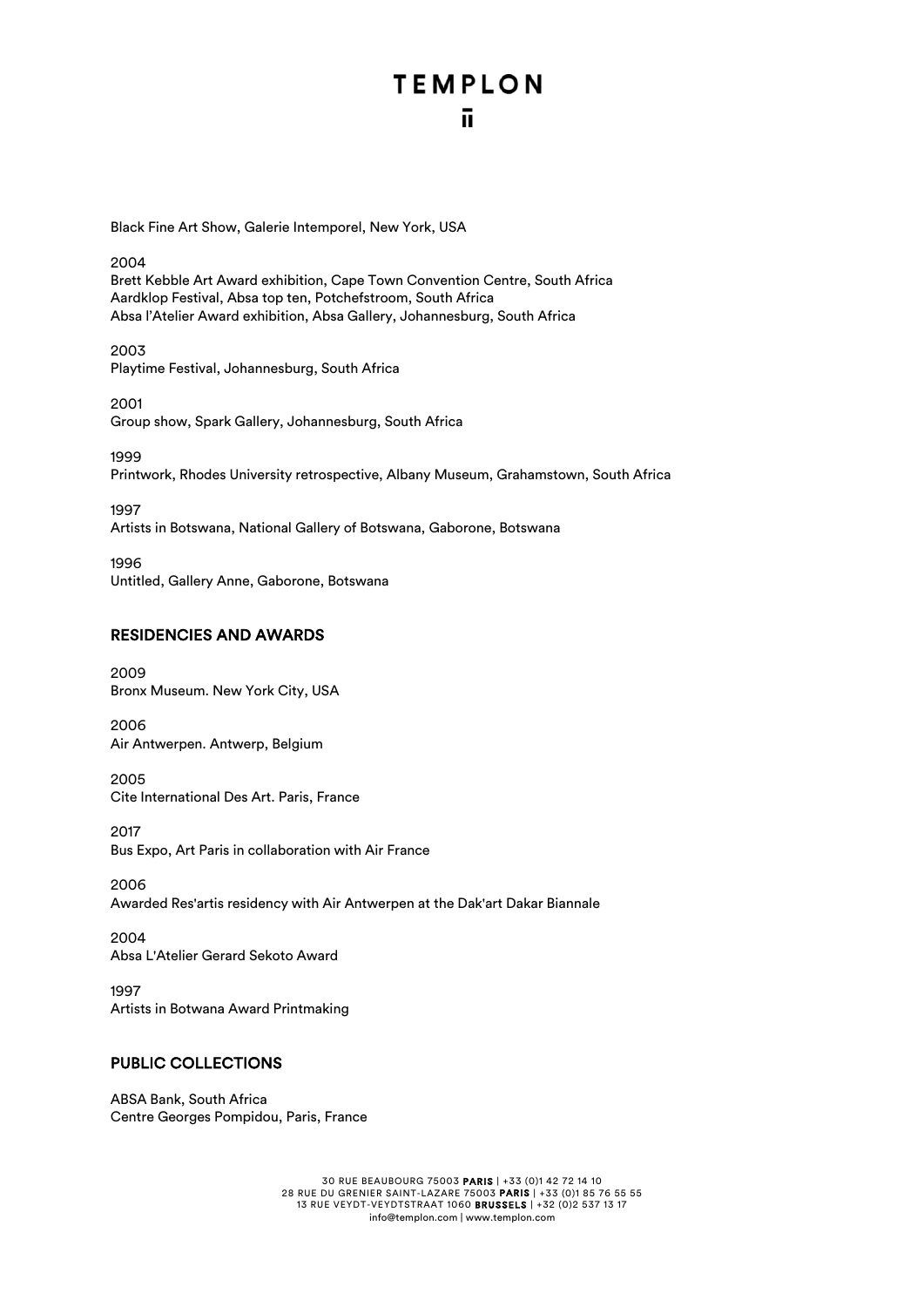### **TEMPLON** π

Black Fine Art Show, Galerie Intemporel, New York, USA

2004 Brett Kebble Art Award exhibition, Cape Town Convention Centre, South Africa Aardklop Festival, Absa top ten, Potchefstroom, South Africa Absa l'Atelier Award exhibition, Absa Gallery, Johannesburg, South Africa

2003 Playtime Festival, Johannesburg, South Africa

2001 Group show, Spark Gallery, Johannesburg, South Africa

1999 Printwork, Rhodes University retrospective, Albany Museum, Grahamstown, South Africa

1997 Artists in Botswana, National Gallery of Botswana, Gaborone, Botswana

1996 Untitled, Gallery Anne, Gaborone, Botswana

#### RESIDENCIES AND AWARDS

2009 Bronx Museum. New York City, USA

2006 Air Antwerpen. Antwerp, Belgium

2005 Cite International Des Art. Paris, France

2017 Bus Expo, Art Paris in collaboration with Air France

2006 Awarded Res'artis residency with Air Antwerpen at the Dak'art Dakar Biannale

2004 Absa L'Atelier Gerard Sekoto Award

1997 Artists in Botwana Award Printmaking

#### PUBLIC COLLECTIONS

ABSA Bank, South Africa Centre Georges Pompidou, Paris, France